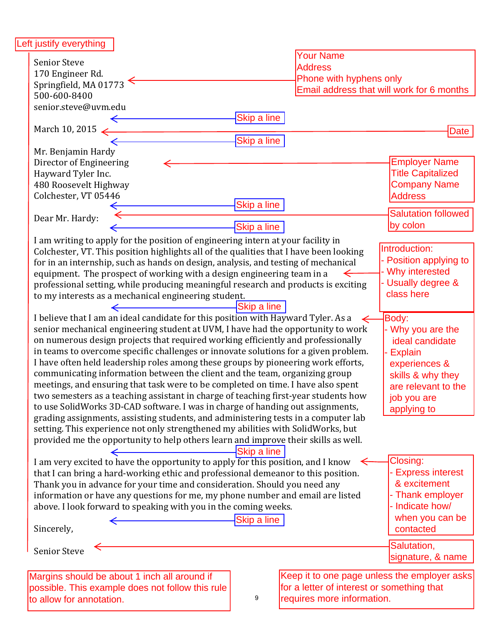| Left justify everything                                                                                 |             |                                            |                                              |
|---------------------------------------------------------------------------------------------------------|-------------|--------------------------------------------|----------------------------------------------|
| <b>Senior Steve</b>                                                                                     |             | <b>Your Name</b>                           |                                              |
|                                                                                                         |             | <b>Address</b>                             |                                              |
| 170 Engineer Rd.                                                                                        |             | Phone with hyphens only                    |                                              |
| Springfield, MA 01773                                                                                   |             |                                            | Email address that will work for 6 months    |
| 500-600-8400                                                                                            |             |                                            |                                              |
| senior.steve@uvm.edu                                                                                    |             |                                            |                                              |
|                                                                                                         | Skip a line |                                            |                                              |
| March 10, 2015 $\leftarrow$                                                                             |             |                                            | Date                                         |
|                                                                                                         | Skip a line |                                            |                                              |
| Mr. Benjamin Hardy                                                                                      |             |                                            |                                              |
| Director of Engineering                                                                                 |             |                                            | <b>Employer Name</b>                         |
| Hayward Tyler Inc.                                                                                      |             |                                            | <b>Title Capitalized</b>                     |
| 480 Roosevelt Highway                                                                                   |             |                                            | <b>Company Name</b>                          |
| Colchester, VT 05446                                                                                    |             |                                            | <b>Address</b>                               |
|                                                                                                         | Skip a line |                                            |                                              |
| Dear Mr. Hardy:                                                                                         |             |                                            | <b>Salutation followed</b>                   |
|                                                                                                         | Skip a line |                                            | by colon                                     |
| I am writing to apply for the position of engineering intern at your facility in                        |             |                                            |                                              |
| Colchester, VT. This position highlights all of the qualities that I have been looking                  |             |                                            | Introduction:                                |
| for in an internship, such as hands on design, analysis, and testing of mechanical                      |             |                                            | Position applying to                         |
| equipment. The prospect of working with a design engineering team in a                                  |             |                                            | Why interested                               |
| professional setting, while producing meaningful research and products is exciting                      |             |                                            | - Usually degree &                           |
| to my interests as a mechanical engineering student.                                                    |             |                                            | class here                                   |
| <u> 1989 - Johann Barn, mars ann an t-</u>                                                              | Skip a line |                                            |                                              |
|                                                                                                         |             |                                            |                                              |
| I believe that I am an ideal candidate for this position with Hayward Tyler. As a $\leftarrow$          |             |                                            | Body:                                        |
| senior mechanical engineering student at UVM, I have had the opportunity to work                        |             |                                            | - Why you are the                            |
| on numerous design projects that required working efficiently and professionally                        |             |                                            | ideal candidate                              |
| in teams to overcome specific challenges or innovate solutions for a given problem.<br><b>Explain</b>   |             |                                            |                                              |
| I have often held leadership roles among these groups by pioneering work efforts,                       |             |                                            | experiences &                                |
| communicating information between the client and the team, organizing group<br>skills & why they        |             |                                            |                                              |
| meetings, and ensuring that task were to be completed on time. I have also spent<br>are relevant to the |             |                                            |                                              |
| two semesters as a teaching assistant in charge of teaching first-year students how<br>job you are      |             |                                            |                                              |
| to use SolidWorks 3D-CAD software. I was in charge of handing out assignments,                          |             |                                            | applying to                                  |
| grading assignments, assisting students, and administering tests in a computer lab                      |             |                                            |                                              |
| setting. This experience not only strengthened my abilities with SolidWorks, but                        |             |                                            |                                              |
| provided me the opportunity to help others learn and improve their skills as well.                      |             |                                            |                                              |
|                                                                                                         | Skip a line |                                            |                                              |
| I am very excited to have the opportunity to apply for this position, and I know                        |             |                                            | Closing:                                     |
| that I can bring a hard-working ethic and professional demeanor to this position.                       |             |                                            | - Express interest                           |
| & excitement<br>Thank you in advance for your time and consideration. Should you need any               |             |                                            |                                              |
| - Thank employer<br>information or have any questions for me, my phone number and email are listed      |             |                                            |                                              |
| above. I look forward to speaking with you in the coming weeks.                                         |             |                                            | - Indicate how/                              |
|                                                                                                         |             |                                            | when you can be                              |
|                                                                                                         | Skip a line |                                            | contacted                                    |
| Sincerely,                                                                                              |             |                                            |                                              |
|                                                                                                         |             |                                            | Salutation,                                  |
| <b>Senior Steve</b>                                                                                     |             |                                            | signature, & name                            |
|                                                                                                         |             |                                            |                                              |
| Margins should be about 1 inch all around if                                                            |             |                                            | Keep it to one page unless the employer asks |
| possible. This example does not follow this rule                                                        |             | for a letter of interest or something that |                                              |
| to allow for annotation.                                                                                | 9           | requires more information.                 |                                              |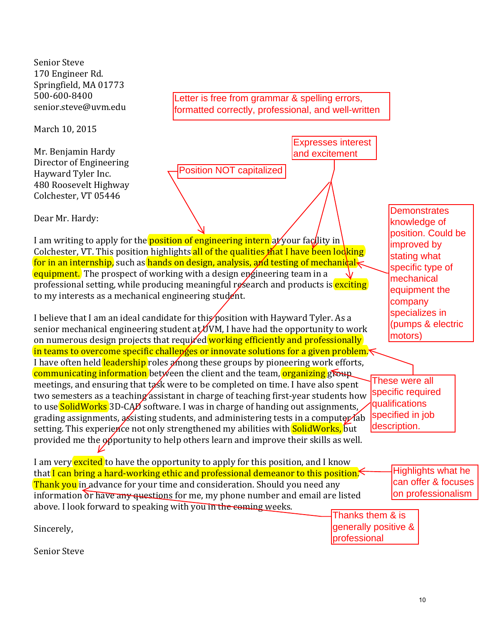Senior Steve 170 Engineer Rd. Springfield, MA 01773 500-600-8400 senior.steve@uvm.edu 

March 10, 2015

Mr. Benjamin Hardy Director of Engineering Hayward Tyler Inc. 480 Roosevelt Highway Colchester, VT 05446

Dear Mr. Hardy:

I am writing to apply for the **position of engineering intern** at your facility in Colchester, VT. This position highlights all of the qualities that I have been looking for in an internship, such as hands on design, analysis, and testing of mechanical equipment. The prospect of working with a design engineering team in a professional setting, while producing meaningful research and products is exciting to my interests as a mechanical engineering student.

Position NOT capitalized

Letter is free from grammar & spelling errors, formatted correctly, professional, and well-written

> Expresses interest and excitement

I believe that I am an ideal candidate for this position with Hayward Tyler. As a senior mechanical engineering student at  $\mathcal{U}$ VM, I have had the opportunity to work on numerous design projects that required working efficiently and professionally in teams to overcome specific challenges or innovate solutions for a given problem. I have often held leadership roles among these groups by pioneering work efforts, communicating information between the client and the team, organizing group meetings, and ensuring that  $\frac{1}{6}$  were to be completed on time. I have also spent two semesters as a teaching assistant in charge of teaching first-year students how to use **SolidWorks** 3D-CAD software. I was in charge of handing out assignments, grading assignments, assisting students, and administering tests in a computer (ab setting. This experience not only strengthened my abilities with **SolidWorks**, but provided me the opportunity to help others learn and improve their skills as well. These were all specific required qualifications specified in job description.

I am very excited to have the opportunity to apply for this position, and I know that I can bring a hard-working ethic and professional demeanor to this position. **Thank you** in advance for your time and consideration. Should you need any information or have any questions for me, my phone number and email are listed above. I look forward to speaking with you in the coming weeks. Sincerely, Highlights what he can offer & focuses on professionalism Thanks them & is generally positive & professional

Senior Steve

**Demonstrates** knowledge of position. Could be

improved by stating what specific type of mechanical equipment the company specializes in (pumps & electric

motors)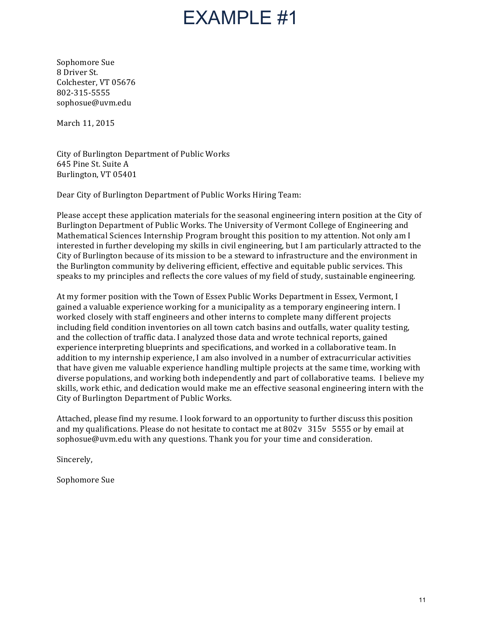## EXAMPLE #1

Sophomore Sue 8 Driver St. Colchester, VT 05676 802-315-5555 sophosue@uvm.edu 

March 11, 2015

City of Burlington Department of Public Works 645 Pine St. Suite A Burlington, VT 05401

Dear City of Burlington Department of Public Works Hiring Team:

Please accept these application materials for the seasonal engineering intern position at the City of Burlington Department of Public Works. The University of Vermont College of Engineering and Mathematical Sciences Internship Program brought this position to my attention. Not only am I interested in further developing my skills in civil engineering, but I am particularly attracted to the City of Burlington because of its mission to be a steward to infrastructure and the environment in the Burlington community by delivering efficient, effective and equitable public services. This speaks to my principles and reflects the core values of my field of study, sustainable engineering.

At my former position with the Town of Essex Public Works Department in Essex, Vermont, I gained a valuable experience working for a municipality as a temporary engineering intern. I worked closely with staff engineers and other interns to complete many different projects including field condition inventories on all town catch basins and outfalls, water quality testing, and the collection of traffic data. I analyzed those data and wrote technical reports, gained experience interpreting blueprints and specifications, and worked in a collaborative team. In addition to my internship experience, I am also involved in a number of extracurricular activities that have given me valuable experience handling multiple projects at the same time, working with diverse populations, and working both independently and part of collaborative teams. I believe my skills, work ethic, and dedication would make me an effective seasonal engineering intern with the City of Burlington Department of Public Works.

Attached, please find my resume. I look forward to an opportunity to further discuss this position and my qualifications. Please do not hesitate to contact me at  $802v$  315v 5555 or by email at sophosue@uvm.edu with any questions. Thank you for your time and consideration.

Sincerely, 

Sophomore Sue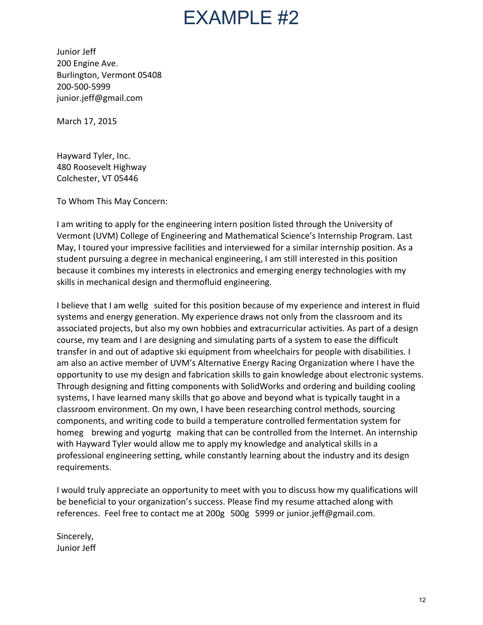## $FXAMPI F #2$

Junior Jeff 200 Engine Ave. Burlington, Vermont 05408 200-500-5999 junior.jeff@gmail.com 

March 17, 2015

Hayward Tyler, Inc. 480 Roosevelt Highway Colchester, VT 05446

To Whom This May Concern: 

I am writing to apply for the engineering intern position listed through the University of Vermont (UVM) College of Engineering and Mathematical Science's Internship Program. Last May, I toured your impressive facilities and interviewed for a similar internship position. As a student pursuing a degree in mechanical engineering, I am still interested in this position because it combines my interests in electronics and emerging energy technologies with my skills in mechanical design and thermofluid engineering.

I believe that I am wellg suited for this position because of my experience and interest in fluid systems and energy generation. My experience draws not only from the classroom and its associated projects, but also my own hobbies and extracurricular activities. As part of a design course, my team and I are designing and simulating parts of a system to ease the difficult transfer in and out of adaptive ski equipment from wheelchairs for people with disabilities. I am also an active member of UVM's Alternative Energy Racing Organization where I have the opportunity to use my design and fabrication skills to gain knowledge about electronic systems. Through designing and fitting components with SolidWorks and ordering and building cooling systems, I have learned many skills that go above and beyond what is typically taught in a classroom environment. On my own, I have been researching control methods, sourcing components, and writing code to build a temperature controlled fermentation system for homeg brewing and yogurtg making that can be controlled from the Internet. An internship with Hayward Tyler would allow me to apply my knowledge and analytical skills in a professional engineering setting, while constantly learning about the industry and its design requirements. 

I would truly appreciate an opportunity to meet with you to discuss how my qualifications will be beneficial to your organization's success. Please find my resume attached along with references. Feel free to contact me at 200g 500g 5999 or junior.jeff@gmail.com.

Sincerely, Junior Jeff